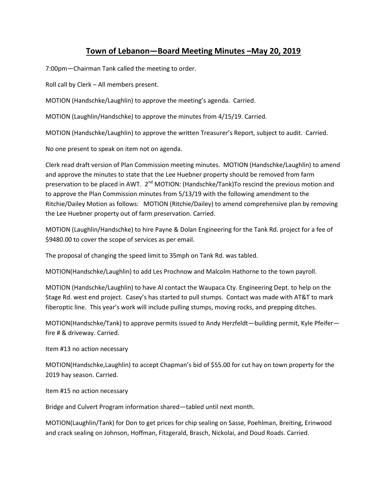## **Town of Lebanon—Board Meeting Minutes –May 20, 2019**

7:00pm—Chairman Tank called the meeting to order.

Roll call by Clerk – All members present.

MOTION (Handschke/Laughlin) to approve the meeting's agenda. Carried.

MOTION (Laughlin/Handschke) to approve the minutes from 4/15/19. Carried.

MOTION (Handschke/Laughlin) to approve the written Treasurer's Report, subject to audit. Carried.

No one present to speak on item not on agenda.

Clerk read draft version of Plan Commission meeting minutes. MOTION (Handschke/Laughlin) to amend and approve the minutes to state that the Lee Huebner property should be removed from farm preservation to be placed in AWT. 2<sup>nd</sup> MOTION: (Handschke/Tank)To rescind the previous motion and to approve the Plan Commission minutes from 5/13/19 with the following amendment to the Ritchie/Dailey Motion as follows: MOTION (Ritchie/Dailey) to amend comprehensive plan by removing the Lee Huebner property out of farm preservation. Carried.

MOTION (Laughlin/Handschke) to hire Payne & Dolan Engineering for the Tank Rd. project for a fee of \$9480.00 to cover the scope of services as per email.

The proposal of changing the speed limit to 35mph on Tank Rd. was tabled.

MOTION(Handschke/Laughlin) to add Les Prochnow and Malcolm Hathorne to the town payroll.

MOTION (Handschke/Laughlin) to have Al contact the Waupaca Cty. Engineering Dept. to help on the Stage Rd. west end project. Casey's has started to pull stumps. Contact was made with AT&T to mark fiberoptic line. This year's work will include pulling stumps, moving rocks, and prepping ditches.

MOTION(Handschke/Tank) to approve permits issued to Andy Herzfeldt—building permit, Kyle Pfeifer fire # & driveway. Carried.

Item #13 no action necessary

MOTION(Handschke,Laughlin) to accept Chapman's bid of \$55.00 for cut hay on town property for the 2019 hay season. Carried.

Item #15 no action necessary

Bridge and Culvert Program information shared—tabled until next month.

MOTION(Laughlin/Tank) for Don to get prices for chip sealing on Sasse, Poehlman, Breiting, Erinwood and crack sealing on Johnson, Hoffman, Fitzgerald, Brasch, Nickolai, and Doud Roads. Carried.